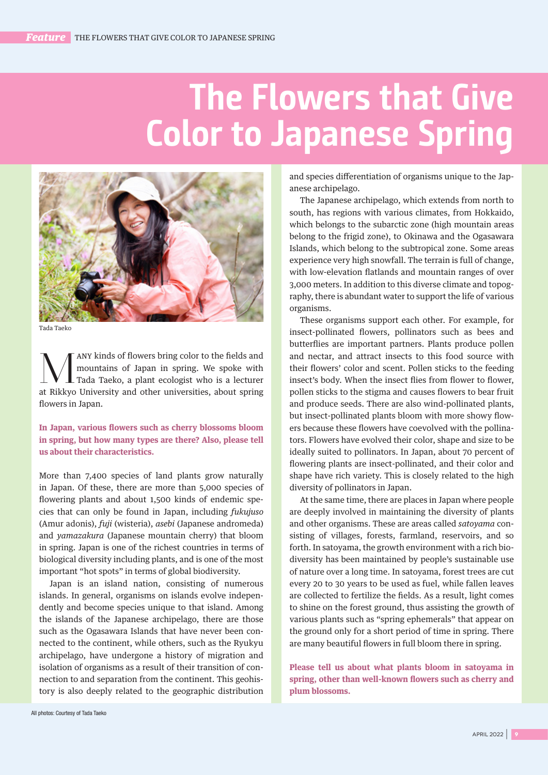## **The Flowers that Give Color to Japanese Spring**



Tada Taeko

Many kinds of flowers bring color to the fields and<br>mountains of Japan in spring. We spoke with<br>Tada Taeko, a plant ecologist who is a lecturer<br>at Bikkyo University and other universities, about exing mountains of Japan in spring. We spoke with Tada Taeko, a plant ecologist who is a lecturer at Rikkyo University and other universities, about spring flowers in Japan.

**In Japan, various flowers such as cherry blossoms bloom in spring, but how many types are there? Also, please tell us about their characteristics.**

More than 7,400 species of land plants grow naturally in Japan. Of these, there are more than 5,000 species of flowering plants and about 1,500 kinds of endemic species that can only be found in Japan, including *fukujuso* (Amur adonis), *fuji* (wisteria), *asebi* (Japanese andromeda) and *yamazakura* (Japanese mountain cherry) that bloom in spring. Japan is one of the richest countries in terms of biological diversity including plants, and is one of the most important "hot spots" in terms of global biodiversity.

Japan is an island nation, consisting of numerous islands. In general, organisms on islands evolve independently and become species unique to that island. Among the islands of the Japanese archipelago, there are those such as the Ogasawara Islands that have never been connected to the continent, while others, such as the Ryukyu archipelago, have undergone a history of migration and isolation of organisms as a result of their transition of connection to and separation from the continent. This geohistory is also deeply related to the geographic distribution and species differentiation of organisms unique to the Japanese archipelago.

The Japanese archipelago, which extends from north to south, has regions with various climates, from Hokkaido, which belongs to the subarctic zone (high mountain areas belong to the frigid zone), to Okinawa and the Ogasawara Islands, which belong to the subtropical zone. Some areas experience very high snowfall. The terrain is full of change, with low-elevation flatlands and mountain ranges of over 3,000 meters. In addition to this diverse climate and topography, there is abundant water to support the life of various organisms.

These organisms support each other. For example, for insect-pollinated flowers, pollinators such as bees and butterflies are important partners. Plants produce pollen and nectar, and attract insects to this food source with their flowers' color and scent. Pollen sticks to the feeding insect's body. When the insect flies from flower to flower, pollen sticks to the stigma and causes flowers to bear fruit and produce seeds. There are also wind-pollinated plants, but insect-pollinated plants bloom with more showy flowers because these flowers have coevolved with the pollinators. Flowers have evolved their color, shape and size to be ideally suited to pollinators. In Japan, about 70 percent of flowering plants are insect-pollinated, and their color and shape have rich variety. This is closely related to the high diversity of pollinators in Japan.

At the same time, there are places in Japan where people are deeply involved in maintaining the diversity of plants and other organisms. These are areas called *satoyama* consisting of villages, forests, farmland, reservoirs, and so forth. In satoyama, the growth environment with a rich biodiversity has been maintained by people's sustainable use of nature over a long time. In satoyama, forest trees are cut every 20 to 30 years to be used as fuel, while fallen leaves are collected to fertilize the fields. As a result, light comes to shine on the forest ground, thus assisting the growth of various plants such as "spring ephemerals" that appear on the ground only for a short period of time in spring. There are many beautiful flowers in full bloom there in spring.

**Please tell us about what plants bloom in satoyama in spring, other than well-known flowers such as cherry and plum blossoms.**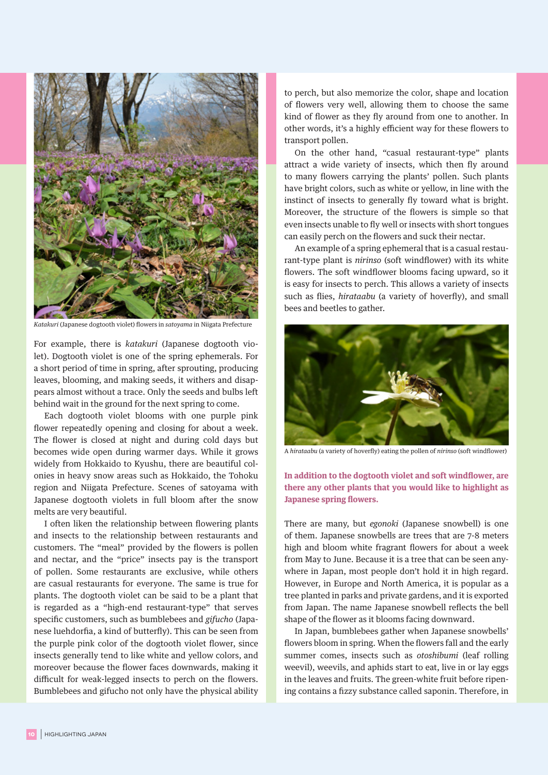

*Katakuri* (Japanese dogtooth violet) flowers in *satoyama* in Niigata Prefecture

For example, there is *katakuri* (Japanese dogtooth violet). Dogtooth violet is one of the spring ephemerals. For a short period of time in spring, after sprouting, producing leaves, blooming, and making seeds, it withers and disappears almost without a trace. Only the seeds and bulbs left behind wait in the ground for the next spring to come.

Each dogtooth violet blooms with one purple pink flower repeatedly opening and closing for about a week. The flower is closed at night and during cold days but becomes wide open during warmer days. While it grows widely from Hokkaido to Kyushu, there are beautiful colonies in heavy snow areas such as Hokkaido, the Tohoku region and Niigata Prefecture. Scenes of satoyama with Japanese dogtooth violets in full bloom after the snow melts are very beautiful.

I often liken the relationship between flowering plants and insects to the relationship between restaurants and customers. The "meal" provided by the flowers is pollen and nectar, and the "price" insects pay is the transport of pollen. Some restaurants are exclusive, while others are casual restaurants for everyone. The same is true for plants. The dogtooth violet can be said to be a plant that is regarded as a "high-end restaurant-type" that serves specific customers, such as bumblebees and *gifucho* (Japanese luehdorfia, a kind of butterfly). This can be seen from the purple pink color of the dogtooth violet flower, since insects generally tend to like white and yellow colors, and moreover because the flower faces downwards, making it difficult for weak-legged insects to perch on the flowers. Bumblebees and gifucho not only have the physical ability

to perch, but also memorize the color, shape and location of flowers very well, allowing them to choose the same kind of flower as they fly around from one to another. In other words, it's a highly efficient way for these flowers to transport pollen.

On the other hand, "casual restaurant-type" plants attract a wide variety of insects, which then fly around to many flowers carrying the plants' pollen. Such plants have bright colors, such as white or yellow, in line with the instinct of insects to generally fly toward what is bright. Moreover, the structure of the flowers is simple so that even insects unable to fly well or insects with short tongues can easily perch on the flowers and suck their nectar.

An example of a spring ephemeral that is a casual restaurant-type plant is *nirinso* (soft windflower) with its white flowers. The soft windflower blooms facing upward, so it is easy for insects to perch. This allows a variety of insects such as flies, *hirataabu* (a variety of hoverfly), and small bees and beetles to gather.



A *hirataabu* (a variety of hoverfly) eating the pollen of *nirinso* (soft windflower)

## **In addition to the dogtooth violet and soft windflower, are there any other plants that you would like to highlight as Japanese spring flowers.**

There are many, but *egonoki* (Japanese snowbell) is one of them. Japanese snowbells are trees that are 7-8 meters high and bloom white fragrant flowers for about a week from May to June. Because it is a tree that can be seen anywhere in Japan, most people don't hold it in high regard. However, in Europe and North America, it is popular as a tree planted in parks and private gardens, and it is exported from Japan. The name Japanese snowbell reflects the bell shape of the flower as it blooms facing downward.

In Japan, bumblebees gather when Japanese snowbells' flowers bloom in spring. When the flowers fall and the early summer comes, insects such as *otoshibumi* (leaf rolling weevil), weevils, and aphids start to eat, live in or lay eggs in the leaves and fruits. The green-white fruit before ripening contains a fizzy substance called saponin. Therefore, in